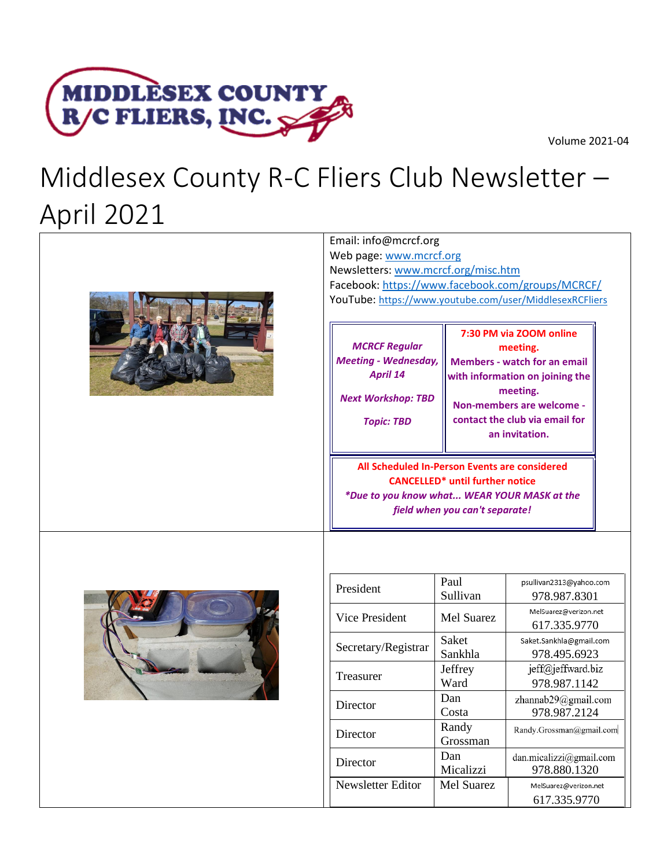



# Middlesex County R-C Fliers Club Newsletter – April 2021







| President           | Paul              | psullivan2313@yahoo.com  |
|---------------------|-------------------|--------------------------|
|                     | Sullivan          | 978.987.8301             |
| Vice President      | Mel Suarez        | MelSuarez@verizon.net    |
|                     |                   | 617.335.9770             |
| Secretary/Registrar | Saket             | Saket.Sankhla@gmail.com  |
|                     | Sankhla           | 978.495.6923             |
|                     | Jeffrey           | jeff@jeffward.biz        |
| Treasurer           | Ward              | 978.987.1142             |
| Director            | Dan               | zhannab29@gmail.com      |
|                     | Costa             | 978.987.2124             |
| Director            | Randy             | Randy.Grossman@gmail.com |
|                     | Grossman          |                          |
| Director            | Dan               | dan.micalizzi@gmail.com  |
|                     | Micalizzi         | 978.880.1320             |
| Newsletter Editor   | <b>Mel Suarez</b> | MelSuarez@verizon.net    |
|                     |                   | 617.335.9770             |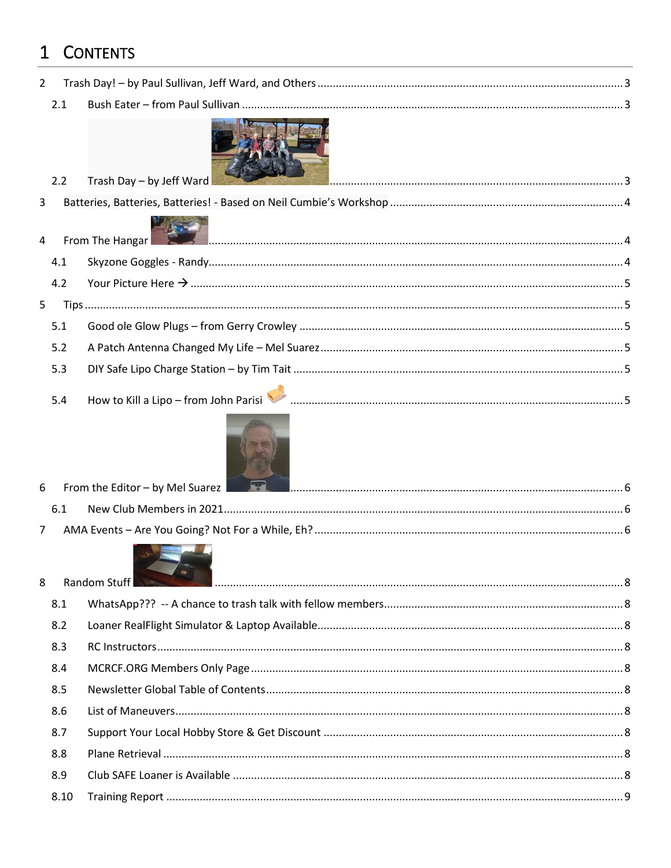# 1 CONTENTS

| $\overline{2}$ |                                        |                                                                                                |
|----------------|----------------------------------------|------------------------------------------------------------------------------------------------|
| 2.1            |                                        |                                                                                                |
| 2.2            |                                        |                                                                                                |
| 3              |                                        |                                                                                                |
|                |                                        |                                                                                                |
| $\overline{4}$ |                                        |                                                                                                |
| 4.1            |                                        |                                                                                                |
| 4.2            |                                        |                                                                                                |
| 5              |                                        |                                                                                                |
| 5.1            |                                        |                                                                                                |
| 5.2            |                                        |                                                                                                |
| 5.3            |                                        |                                                                                                |
| 5.4            |                                        |                                                                                                |
| 6              |                                        |                                                                                                |
| 6.1            |                                        |                                                                                                |
| $\overline{7}$ |                                        |                                                                                                |
|                |                                        |                                                                                                |
|                |                                        |                                                                                                |
|                |                                        |                                                                                                |
|                |                                        |                                                                                                |
|                |                                        |                                                                                                |
|                |                                        |                                                                                                |
|                |                                        |                                                                                                |
| 8.7            |                                        |                                                                                                |
| 8.8            |                                        |                                                                                                |
| 8.9            |                                        |                                                                                                |
| 8.10           |                                        |                                                                                                |
| 8              | 8.1<br>8.2<br>8.3<br>8.4<br>8.5<br>8.6 | Trash Day - by Jeff Ward<br>From The Hangar<br>From the Editor - by Mel Suarez<br>Random Stuff |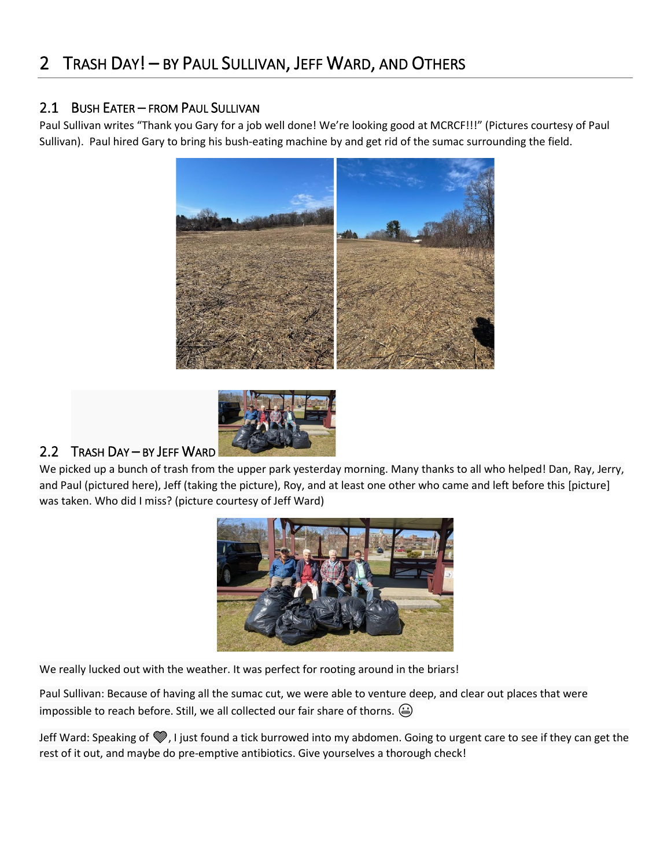### <span id="page-2-1"></span><span id="page-2-0"></span>2.1 BUSH EATER – FROM PAUL SULLIVAN

Paul Sullivan writes "Thank you Gary for a job well done! We're looking good at MCRCF!!!" (Pictures courtesy of Paul Sullivan). Paul hired Gary to bring his bush-eating machine by and get rid of the sumac surrounding the field.





### <span id="page-2-2"></span>2.2 TRASH DAY – BY JEFF WARD

We picked up a bunch of trash from the upper park yesterday morning. Many thanks to all who helped! Dan, Ray, Jerry, and Paul (pictured here), Jeff (taking the picture), Roy, and at least one other who came and left before this [picture] was taken. Who did I miss? (picture courtesy of Jeff Ward)



We really lucked out with the weather. It was perfect for rooting around in the briars!

Paul Sullivan: Because of having all the sumac cut, we were able to venture deep, and clear out places that were impossible to reach before. Still, we all collected our fair share of thorns.  $\textcircled{a}$ 

Jeff Ward: Speaking of  $\mathcal{G}$ , I just found a tick burrowed into my abdomen. Going to urgent care to see if they can get the rest of it out, and maybe do pre-emptive antibiotics. Give yourselves a thorough check!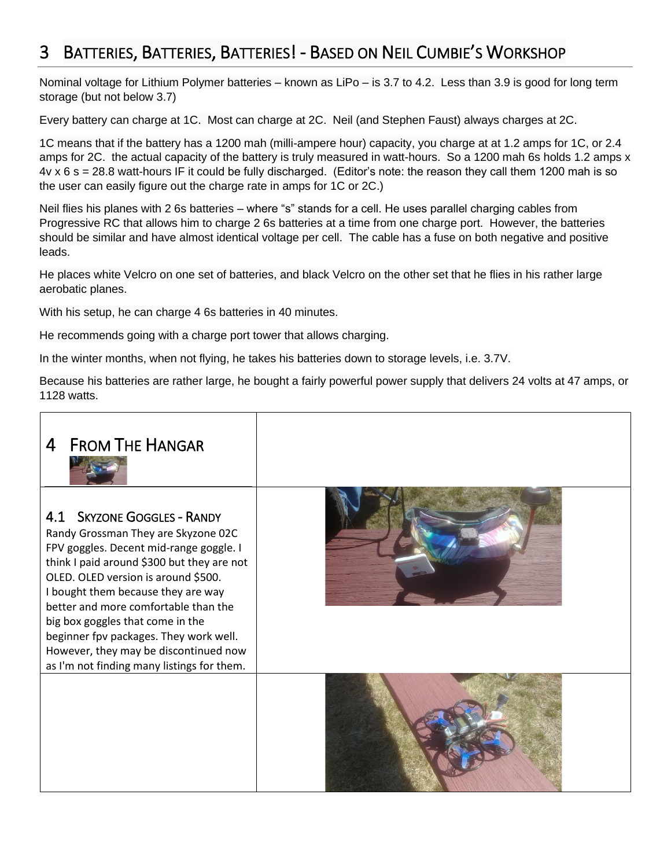## <span id="page-3-0"></span>3 BATTERIES, BATTERIES, BATTERIES! - BASED ON NEIL CUMBIE'S WORKSHOP

Nominal voltage for Lithium Polymer batteries – known as LiPo – is 3.7 to 4.2. Less than 3.9 is good for long term storage (but not below 3.7)

Every battery can charge at 1C. Most can charge at 2C. Neil (and Stephen Faust) always charges at 2C.

1C means that if the battery has a 1200 mah (milli-ampere hour) capacity, you charge at at 1.2 amps for 1C, or 2.4 amps for 2C. the actual capacity of the battery is truly measured in watt-hours. So a 1200 mah 6s holds 1.2 amps x 4v x 6 s = 28.8 watt-hours IF it could be fully discharged. (Editor's note: the reason they call them 1200 mah is so the user can easily figure out the charge rate in amps for 1C or 2C.)

Neil flies his planes with 2 6s batteries – where "s" stands for a cell. He uses parallel charging cables from Progressive RC that allows him to charge 2 6s batteries at a time from one charge port. However, the batteries should be similar and have almost identical voltage per cell. The cable has a fuse on both negative and positive leads.

He places white Velcro on one set of batteries, and black Velcro on the other set that he flies in his rather large aerobatic planes.

With his setup, he can charge 4 6s batteries in 40 minutes.

He recommends going with a charge port tower that allows charging.

In the winter months, when not flying, he takes his batteries down to storage levels, i.e. 3.7V.

Because his batteries are rather large, he bought a fairly powerful power supply that delivers 24 volts at 47 amps, or 1128 watts.

<span id="page-3-2"></span><span id="page-3-1"></span>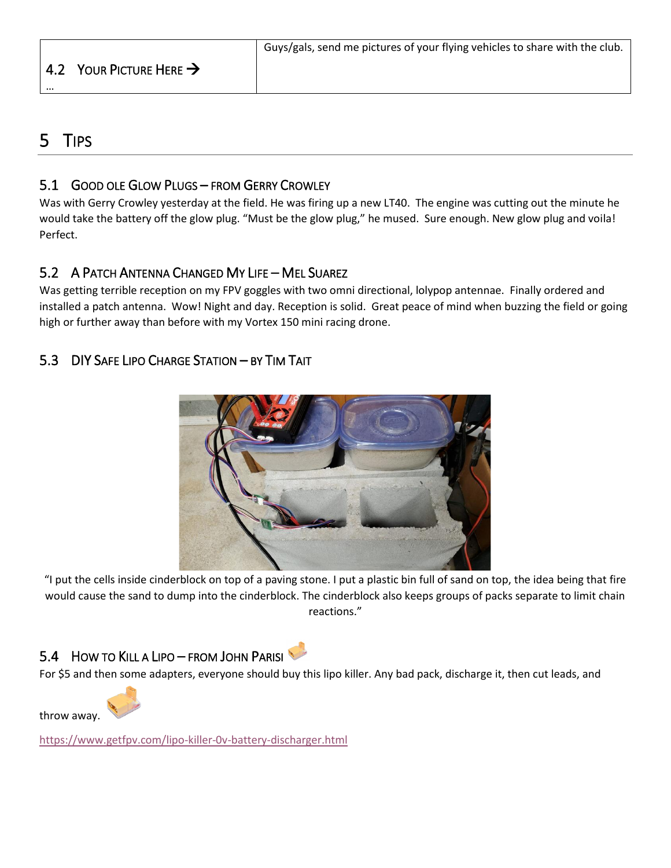### <span id="page-4-0"></span>4.2 YOUR PICTURE HERE  $\rightarrow$

### <span id="page-4-1"></span>5 TIPS

…

### <span id="page-4-2"></span>5.1 GOOD OLE GLOW PLUGS – FROM GERRY CROWLEY

Was with Gerry Crowley yesterday at the field. He was firing up a new LT40. The engine was cutting out the minute he would take the battery off the glow plug. "Must be the glow plug," he mused. Sure enough. New glow plug and voila! Perfect.

### <span id="page-4-3"></span>5.2 A PATCH ANTENNA CHANGED MY LIFE – MEL SUAREZ

Was getting terrible reception on my FPV goggles with two omni directional, lolypop antennae. Finally ordered and installed a patch antenna. Wow! Night and day. Reception is solid. Great peace of mind when buzzing the field or going high or further away than before with my Vortex 150 mini racing drone.

### <span id="page-4-4"></span>5.3 DIY SAFE LIPO CHARGE STATION – BY TIM TAIT



"I put the cells inside cinderblock on top of a paving stone. I put a plastic bin full of sand on top, the idea being that fire would cause the sand to dump into the cinderblock. The cinderblock also keeps groups of packs separate to limit chain reactions."

### <span id="page-4-5"></span>5.4 HOW TO KILL A LIPO – FROM JOHN PARISI

For \$5 and then some adapters, everyone should buy this lipo killer. Any bad pack, discharge it, then cut leads, and



<https://www.getfpv.com/lipo-killer-0v-battery-discharger.html>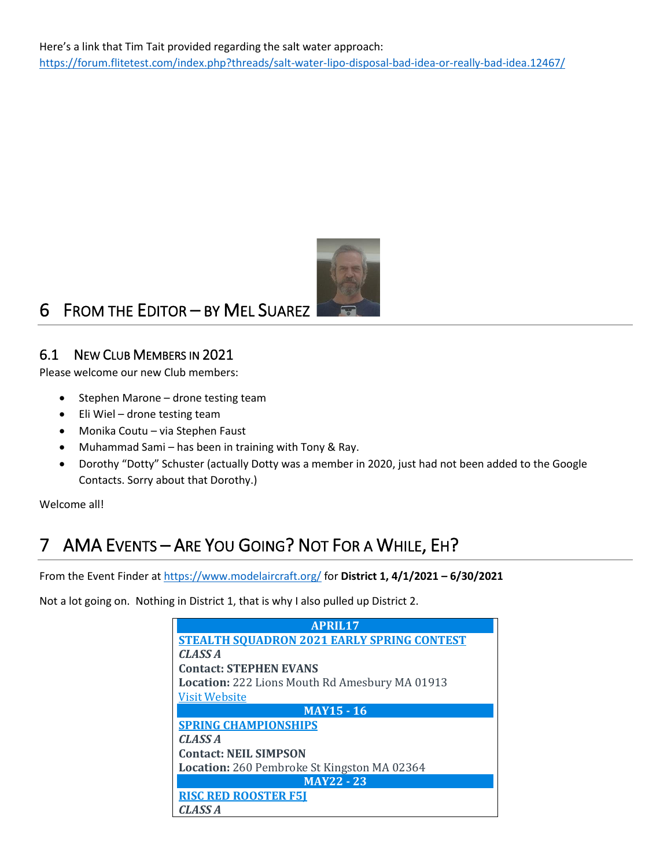

# <span id="page-5-0"></span>6 FROM THE EDITOR – BY MEL SUAREZ

### <span id="page-5-1"></span>6.1 NEW CLUB MEMBERS IN 2021

Please welcome our new Club members:

- Stephen Marone drone testing team
- Eli Wiel drone testing team
- Monika Coutu via Stephen Faust
- Muhammad Sami has been in training with Tony & Ray.
- Dorothy "Dotty" Schuster (actually Dotty was a member in 2020, just had not been added to the Google Contacts. Sorry about that Dorothy.)

Welcome all!

# <span id="page-5-2"></span>7 AMA EVENTS – ARE YOU GOING? NOT FOR A WHILE, EH?

From the Event Finder a[t https://www.modelaircraft.org/](https://www.modelaircraft.org/) for **District 1, 4/1/2021 – 6/30/2021**

Not a lot going on. Nothing in District 1, that is why I also pulled up District 2.

| APRIL17                                               |
|-------------------------------------------------------|
| <b>STEALTH SOUADRON 2021 EARLY SPRING CONTEST</b>     |
| <b>CLASS A</b>                                        |
| <b>Contact: STEPHEN EVANS</b>                         |
| <b>Location:</b> 222 Lions Mouth Rd Amesbury MA 01913 |
| <b>Visit Website</b>                                  |
| <b>MAY15 - 16</b>                                     |
| <b>SPRING CHAMPIONSHIPS</b>                           |
| CLASS <sub>A</sub>                                    |
| <b>Contact: NEIL SIMPSON</b>                          |
| <b>Location:</b> 260 Pembroke St Kingston MA 02364    |
| <b>MAY22 - 23</b>                                     |
| <b>RISC RED ROOSTER F51</b>                           |
| <b>CLASS A</b>                                        |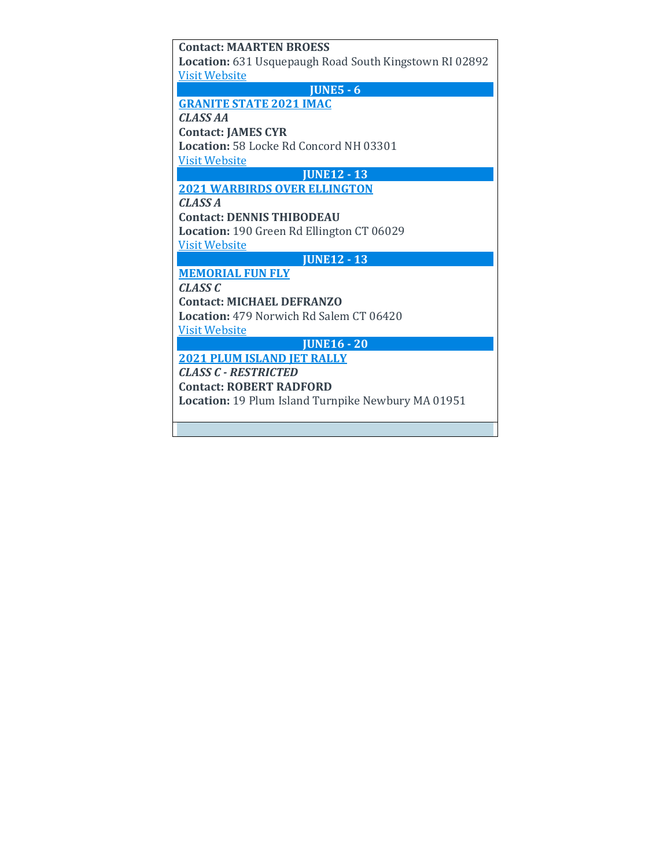| <b>Contact: MAARTEN BROESS</b>                         |
|--------------------------------------------------------|
| Location: 631 Usquepaugh Road South Kingstown RI 02892 |
| <b>Visit Website</b>                                   |
| <b>JUNE5 - 6</b>                                       |
| <b>GRANITE STATE 2021 IMAC</b>                         |
| <b>CLASS AA</b>                                        |
| <b>Contact: JAMES CYR</b>                              |
| <b>Location: 58 Locke Rd Concord NH 03301</b>          |
| <b>Visit Website</b>                                   |
| <b>IUNE12 - 13</b>                                     |
| <b>2021 WARBIRDS OVER ELLINGTON</b>                    |
| CLASSA                                                 |
| <b>Contact: DENNIS THIBODEAU</b>                       |
| Location: 190 Green Rd Ellington CT 06029              |
| <b>Visit Website</b>                                   |
| <b>JUNE12 - 13</b>                                     |
| <b>MEMORIAL FUN FLY</b>                                |
| CLASSC                                                 |
| <b>Contact: MICHAEL DEFRANZO</b>                       |
| <b>Location: 479 Norwich Rd Salem CT 06420</b>         |
| <b>Visit Website</b>                                   |
| <b>JUNE16 - 20</b>                                     |
| <b>2021 PLUM ISLAND JET RALLY</b>                      |
| <b>CLASS C - RESTRICTED</b>                            |
| <b>Contact: ROBERT RADFORD</b>                         |
| Location: 19 Plum Island Turnpike Newbury MA 01951     |
|                                                        |
|                                                        |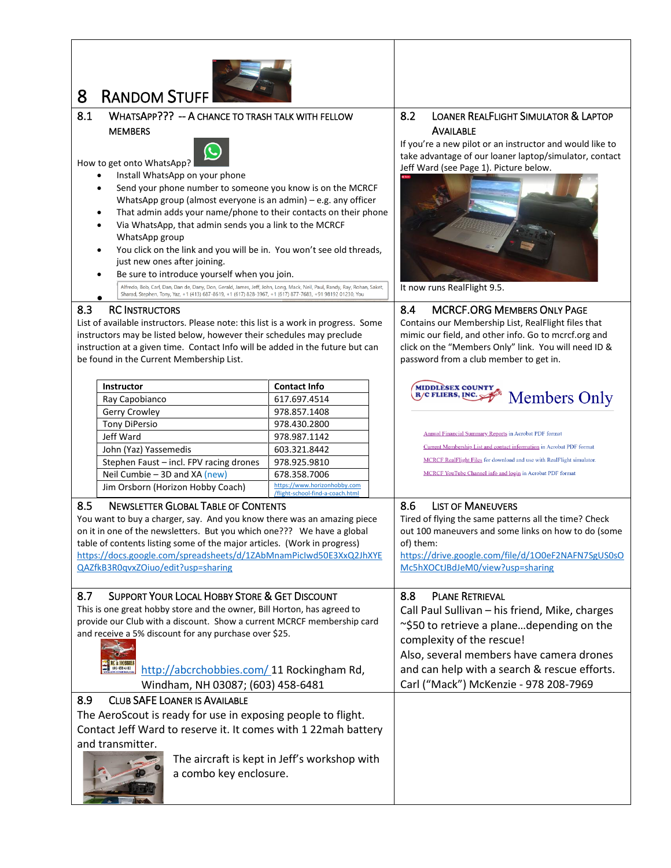<span id="page-7-0"></span>

<span id="page-7-1"></span>8.1 WHATSAPP??? -- A CHANCE TO TRASH TALK WITH FELLOW **MEMBERS** 



How to get onto WhatsApp? • Install WhatsApp on your phone

- Send your phone number to someone you know is on the MCRCF WhatsApp group (almost everyone is an admin) – e.g. any officer
- That admin adds your name/phone to their contacts on their phone
- Via WhatsApp, that admin sends you a link to the MCRCF WhatsApp group
- You click on the link and you will be in. You won't see old threads, just new ones after joining.
- Be sure to introduce yourself when you join.<br>
Alfredo, Bob, Carl, Dan, Dan de, Dany, Don, Gerald, James, Jeff, John, Long, Mack, Neil, Paul, Randy, Ray, Rohan, Saket, Sharad, Stephen, Tony, Yaz, +1 (413) 687-8619, +1 (617) •

#### <span id="page-7-3"></span>8.3 RC INSTRUCTORS

List of available instructors. Please note: this list is a work in progress. Some instructors may be listed below, however their schedules may preclude instruction at a given time. Contact Info will be added in the future but can be found in the Current Membership List.

| <b>Instructor</b>                       | <b>Contact Info</b>                                              |
|-----------------------------------------|------------------------------------------------------------------|
| Ray Capobianco                          | 617.697.4514                                                     |
| Gerry Crowley                           | 978.857.1408                                                     |
| <b>Tony DiPersio</b>                    | 978.430.2800                                                     |
| Jeff Ward                               | 978.987.1142                                                     |
| John (Yaz) Yassemedis                   | 603.321.8442                                                     |
| Stephen Faust - incl. FPV racing drones | 978.925.9810                                                     |
| Neil Cumbie - 3D and XA (new)           | 678.358.7006                                                     |
| Jim Orsborn (Horizon Hobby Coach)       | https://www.horizonhobby.com<br>/flight-school-find-a-coach.html |

You want to buy a charger, say. And you know there was an amazing piece on it in one of the newsletters. But you which one??? We have a global table of contents listing some of the major articles. (Work in progress) [https://docs.google.com/spreadsheets/d/1ZAbMnamPicIwd50E3XxQ2JhXYE](https://docs.google.com/spreadsheets/d/1ZAbMnamPicIwd50E3XxQ2JhXYEQAZfkB3R0qvxZOiuo/edit?usp=sharing)

<span id="page-7-7"></span>8.7 SUPPORT YOUR LOCAL HOBBY STORE & GET DISCOUNT This is one great hobby store and the owner, Bill Horton, has agreed to provide our Club with a discount. Show a current MCRCF membership card

#### <span id="page-7-2"></span>8.2 LOANER REALFLIGHT SIMULATOR & LAPTOP AVAILABLE

If you're a new pilot or an instructor and would like to take advantage of our loaner laptop/simulator, contact Jeff Ward (see Page 1). Picture below.



It now runs RealFlight 9.5.

#### <span id="page-7-4"></span>8.4 MCRCF.ORG MEMBERS ONLY PAGE

Contains our Membership List, RealFlight files that mimic our field, and other info. Go to mcrcf.org and click on the "Members Only" link. You will need ID & password from a club member to get in.



**Annual Financial Summary Reports in Acrobat PDF format** Current Membership List and contact information in Acrobat PDF format MCRCF RealFlight Files for download and use with RealFlight simulator. MCRCF YouTube Channel info and login in Acrobat PDF format

### <span id="page-7-6"></span>8.6 LIST OF MANEUVERS

Tired of flying the same patterns all the time? Check out 100 maneuvers and some links on how to do (some of) them: [https://drive.google.com/file/d/1O0eF2NAFN7SgUS0sO](https://drive.google.com/file/d/1O0eF2NAFN7SgUS0sOMc5hXOCtJBdJeM0/view?usp=sharing)

### [Mc5hXOCtJBdJeM0/view?usp=sharing](https://drive.google.com/file/d/1O0eF2NAFN7SgUS0sOMc5hXOCtJBdJeM0/view?usp=sharing)

<span id="page-7-8"></span>8.8 PLANE RETRIEVAL Call Paul Sullivan – his friend, Mike, charges ~\$50 to retrieve a plane…depending on the complexity of the rescue! Also, several members have camera drones and can help with a search & rescue efforts.

Carl ("Mack") McKenzie - 978 208-7969



### <span id="page-7-9"></span>8.9 CLUB SAFE LOANER IS AVAILABLE

and receive a 5% discount for any purchase over \$25.

<span id="page-7-5"></span>8.5 NEWSLETTER GLOBAL TABLE OF CONTENTS

[QAZfkB3R0qvxZOiuo/edit?usp=sharing](https://docs.google.com/spreadsheets/d/1ZAbMnamPicIwd50E3XxQ2JhXYEQAZfkB3R0qvxZOiuo/edit?usp=sharing)

The AeroScout is ready for use in exposing people to flight. Contact Jeff Ward to reserve it. It comes with 1 22mah battery and transmitter.



The aircraft is kept in Jeff's workshop with a combo key enclosure.